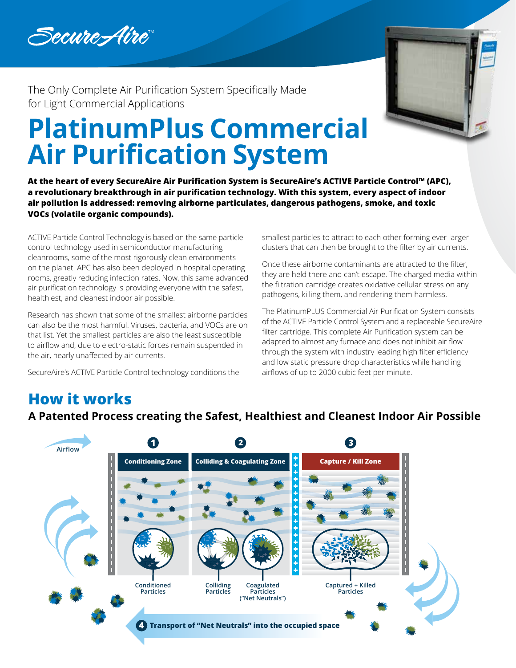



The Only Complete Air Purification System Specifically Made for Light Commercial Applications

# **PlatinumPlus Commercial Air Purification System**

**At the heart of every SecureAire Air Purification System is SecureAire's ACTIVE Particle Control™ (APC), a revolutionary breakthrough in air purification technology. With this system, every aspect of indoor air pollution is addressed: removing airborne particulates, dangerous pathogens, smoke, and toxic VOCs (volatile organic compounds).**

ACTIVE Particle Control Technology is based on the same particlecontrol technology used in semiconductor manufacturing cleanrooms, some of the most rigorously clean environments on the planet. APC has also been deployed in hospital operating rooms, greatly reducing infection rates. Now, this same advanced air purification technology is providing everyone with the safest, healthiest, and cleanest indoor air possible.

Research has shown that some of the smallest airborne particles can also be the most harmful. Viruses, bacteria, and VOCs are on that list. Yet the smallest particles are also the least susceptible to airflow and, due to electro-static forces remain suspended in the air, nearly unaffected by air currents.

SecureAire's ACTIVE Particle Control technology conditions the

smallest particles to attract to each other forming ever-larger clusters that can then be brought to the filter by air currents.

Once these airborne contaminants are attracted to the filter, they are held there and can't escape. The charged media within the filtration cartridge creates oxidative cellular stress on any pathogens, killing them, and rendering them harmless.

The PlatinumPLUS Commercial Air Purification System consists of the ACTIVE Particle Control System and a replaceable SecureAire filter cartridge. This complete Air Purification system can be adapted to almost any furnace and does not inhibit air flow through the system with industry leading high filter efficiency and low static pressure drop characteristics while handling airflows of up to 2000 cubic feet per minute.

## **How it works**

**A Patented Process creating the Safest, Healthiest and Cleanest Indoor Air Possible**